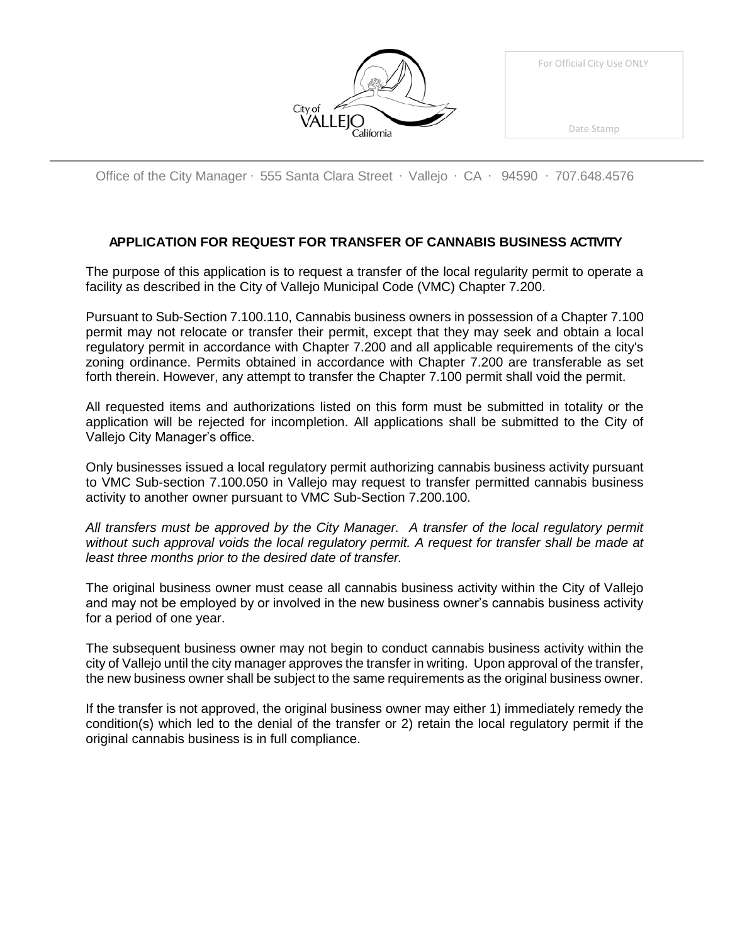| City of California |
|--------------------|

|  | For Official City Use ONLY |  |
|--|----------------------------|--|
|  |                            |  |

Office of the City Manager ∙ 555 Santa Clara Street ∙ Vallejo ∙ CA ∙ 94590 ∙ 707.648.4576

# **APPLICATION FOR REQUEST FOR TRANSFER OF CANNABIS BUSINESS ACTIVITY**

The purpose of this application is to request a transfer of the local regularity permit to operate a facility as described in the City of Vallejo Municipal Code (VMC) Chapter 7.200.

Pursuant to Sub-Section 7.100.110, Cannabis business owners in possession of a Chapter 7.100 permit may not relocate or transfer their permit, except that they may seek and obtain a local regulatory permit in accordance with Chapter 7.200 and all applicable requirements of the city's zoning ordinance. Permits obtained in accordance with Chapter 7.200 are transferable as set forth therein. However, any attempt to transfer the Chapter 7.100 permit shall void the permit.

All requested items and authorizations listed on this form must be submitted in totality or the application will be rejected for incompletion. All applications shall be submitted to the City of Vallejo City Manager's office.

Only businesses issued a local regulatory permit authorizing cannabis business activity pursuant to VMC Sub-section 7.100.050 in Vallejo may request to transfer permitted cannabis business activity to another owner pursuant to VMC Sub-Section 7.200.100.

*All transfers must be approved by the City Manager. A transfer of the local regulatory permit without such approval voids the local regulatory permit. A request for transfer shall be made at least three months prior to the desired date of transfer.*

The original business owner must cease all cannabis business activity within the City of Vallejo and may not be employed by or involved in the new business owner's cannabis business activity for a period of one year.

The subsequent business owner may not begin to conduct cannabis business activity within the city of Vallejo until the city manager approves the transfer in writing. Upon approval of the transfer, the new business owner shall be subject to the same requirements as the original business owner.

If the transfer is not approved, the original business owner may either 1) immediately remedy the condition(s) which led to the denial of the transfer or 2) retain the local regulatory permit if the original cannabis business is in full compliance.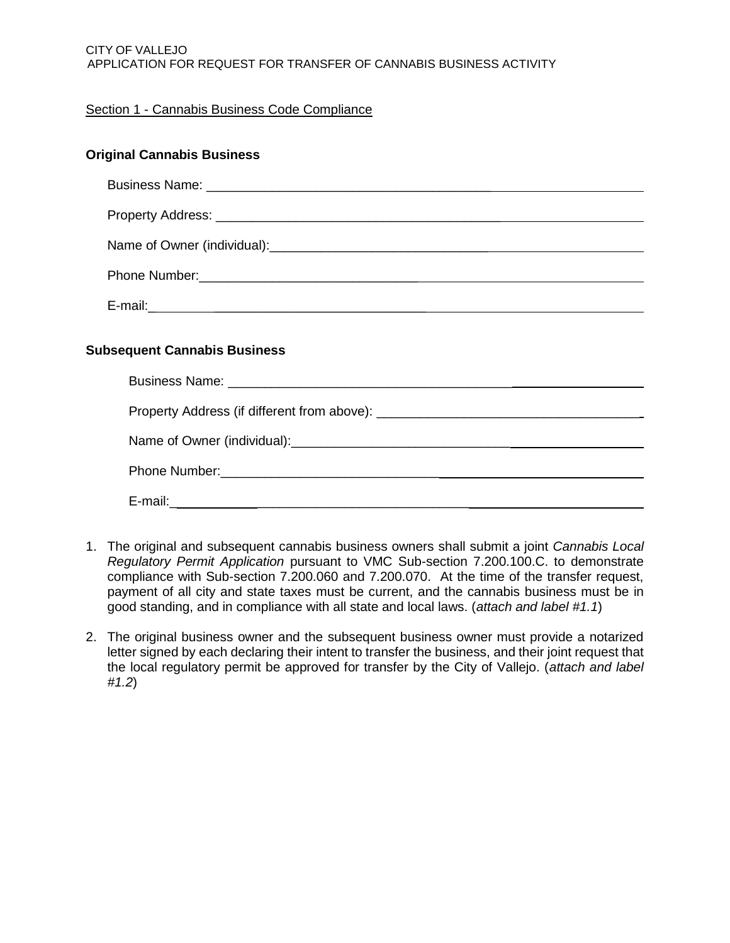### CITY OF VALLEJO APPLICATION FOR REQUEST FOR TRANSFER OF CANNABIS BUSINESS ACTIVITY

# Section 1 - Cannabis Business Code Compliance

| <b>Original Cannabis Business</b>   |
|-------------------------------------|
|                                     |
|                                     |
|                                     |
|                                     |
|                                     |
|                                     |
| <b>Subsequent Cannabis Business</b> |
|                                     |
|                                     |
|                                     |
|                                     |
|                                     |
|                                     |

- 1. The original and subsequent cannabis business owners shall submit a joint *Cannabis Local Regulatory Permit Application* pursuant to VMC Sub-section 7.200.100.C. to demonstrate compliance with Sub-section 7.200.060 and 7.200.070. At the time of the transfer request, payment of all city and state taxes must be current, and the cannabis business must be in good standing, and in compliance with all state and local laws. (*attach and label #1.1*)
- 2. The original business owner and the subsequent business owner must provide a notarized letter signed by each declaring their intent to transfer the business, and their joint request that the local regulatory permit be approved for transfer by the City of Vallejo. (*attach and label #1.2*)